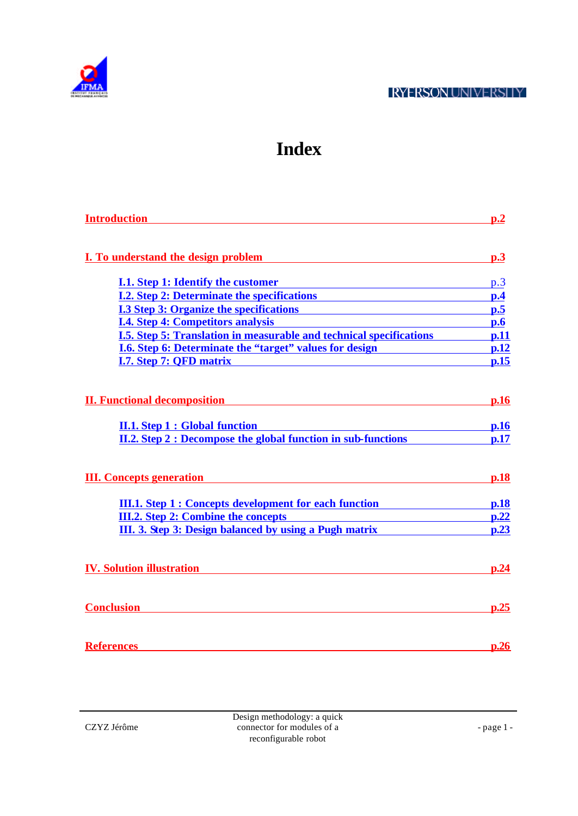



# **Index**

| <b>Introduction</b>                                                                                                        | $\mathbf{p}.\mathbf{2}$  |
|----------------------------------------------------------------------------------------------------------------------------|--------------------------|
|                                                                                                                            |                          |
| I. To understand the design problem                                                                                        | p.3                      |
| <b>I.1. Step 1: Identify the customer</b>                                                                                  | p.3                      |
| <b>I.2. Step 2: Determinate the specifications</b>                                                                         | $\mathbf{p.4}$           |
| <b>I.3 Step 3: Organize the specifications</b>                                                                             | $\mathbf{p}.\mathbf{5}$  |
| <b>I.4. Step 4: Competitors analysis</b>                                                                                   | $\mathbf{p.6}$           |
| <b>I.5. Step 5: Translation in measurable and technical specifications</b>                                                 | $\mathbf{p.11}$          |
| <b>I.6. Step 6: Determinate the "target" values for design Step 3.5 Step 6: Determinate the "target" values for design</b> | $\mathbf{p}.\mathbf{12}$ |
| <b>I.7. Step 7: OFD matrix</b>                                                                                             | $\mathbf{p.15}$          |
|                                                                                                                            |                          |
| <b>II. Functional decomposition</b>                                                                                        | $\mathbf{p.16}$          |
| <b>II.1. Step 1 : Global function</b>                                                                                      | $\mathbf{p.16}$          |
| <b>II.2. Step 2 : Decompose the global function in sub-functions</b>                                                       | $\mathbf{p.17}$          |
| <b>III.</b> Concepts generation                                                                                            | p.18                     |
| <b>III.1. Step 1 : Concepts development for each function</b>                                                              | p.18                     |
| <b>III.2. Step 2: Combine the concepts</b>                                                                                 | $\mathbf{p.22}$          |
| III. 3. Step 3: Design balanced by using a Pugh matrix                                                                     | p.23                     |
| <b>IV. Solution illustration</b>                                                                                           | $\mathbf{p.24}$          |
| <b>Conclusion</b>                                                                                                          | $\mathbf{D.25}$          |
| <b>References</b>                                                                                                          | p.26                     |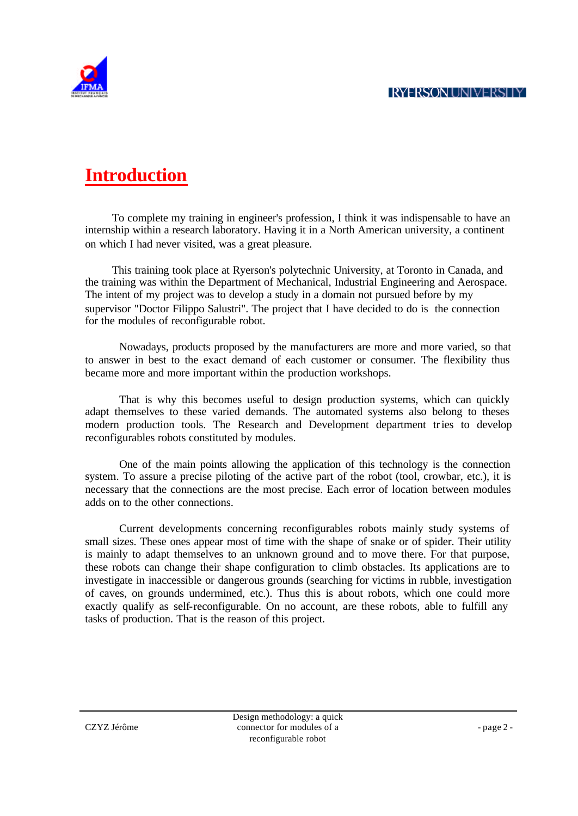

# **Introduction**

To complete my training in engineer's profession, I think it was indispensable to have an internship within a research laboratory. Having it in a North American university, a continent on which I had never visited, was a great pleasure.

This training took place at Ryerson's polytechnic University, at Toronto in Canada, and the training was within the Department of Mechanical, Industrial Engineering and Aerospace. The intent of my project was to develop a study in a domain not pursued before by my supervisor "Doctor Filippo Salustri". The project that I have decided to do is the connection for the modules of reconfigurable robot.

Nowadays, products proposed by the manufacturers are more and more varied, so that to answer in best to the exact demand of each customer or consumer. The flexibility thus became more and more important within the production workshops.

That is why this becomes useful to design production systems, which can quickly adapt themselves to these varied demands. The automated systems also belong to theses modern production tools. The Research and Development department tries to develop reconfigurables robots constituted by modules.

One of the main points allowing the application of this technology is the connection system. To assure a precise piloting of the active part of the robot (tool, crowbar, etc.), it is necessary that the connections are the most precise. Each error of location between modules adds on to the other connections.

Current developments concerning reconfigurables robots mainly study systems of small sizes. These ones appear most of time with the shape of snake or of spider. Their utility is mainly to adapt themselves to an unknown ground and to move there. For that purpose, these robots can change their shape configuration to climb obstacles. Its applications are to investigate in inaccessible or dangerous grounds (searching for victims in rubble, investigation of caves, on grounds undermined, etc.). Thus this is about robots, which one could more exactly qualify as self-reconfigurable. On no account, are these robots, able to fulfill any tasks of production. That is the reason of this project.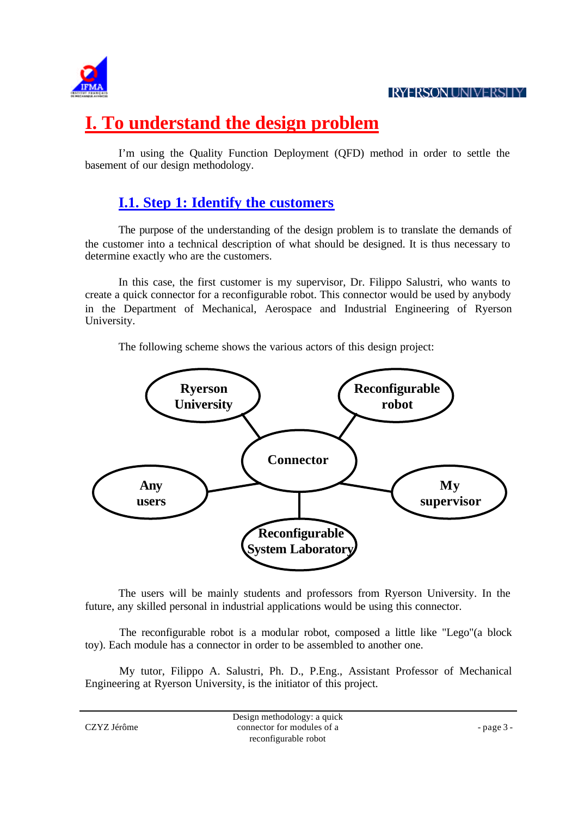



# **I. To understand the design problem**

I'm using the Quality Function Deployment (QFD) method in order to settle the basement of our design methodology.

## **I.1. Step 1: Identify the customers**

The purpose of the understanding of the design problem is to translate the demands of the customer into a technical description of what should be designed. It is thus necessary to determine exactly who are the customers.

In this case, the first customer is my supervisor, Dr. Filippo Salustri, who wants to create a quick connector for a reconfigurable robot. This connector would be used by anybody in the Department of Mechanical, Aerospace and Industrial Engineering of Ryerson University.

The following scheme shows the various actors of this design project:



The users will be mainly students and professors from Ryerson University. In the future, any skilled personal in industrial applications would be using this connector.

The reconfigurable robot is a modular robot, composed a little like "Lego"(a block toy). Each module has a connector in order to be assembled to another one.

My tutor, Filippo A. Salustri, Ph. D., P.Eng., Assistant Professor of Mechanical Engineering at Ryerson University, is the initiator of this project.

CZYZ Jérôme

Design methodology: a quick connector for modules of a reconfigurable robot

- page 3 -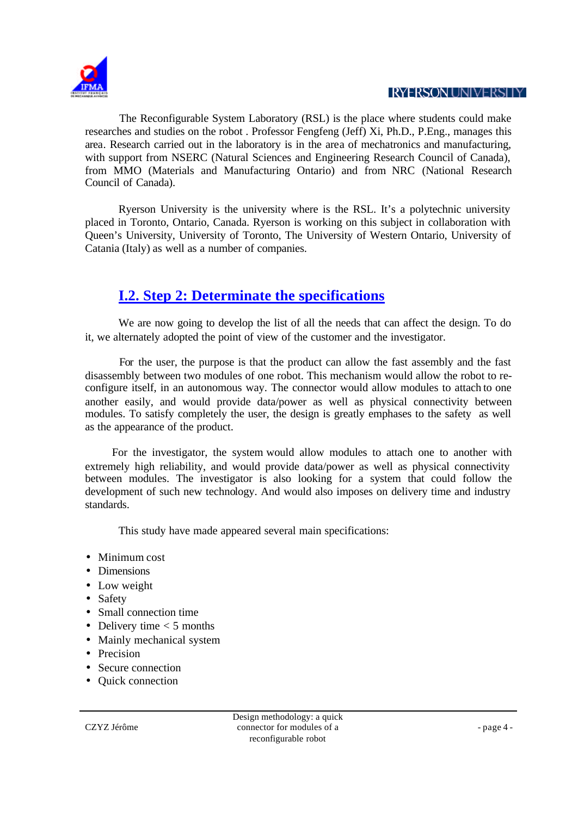

The Reconfigurable System Laboratory (RSL) is the place where students could make researches and studies on the robot . Professor Fengfeng (Jeff) Xi, Ph.D., P.Eng., manages this area. Research carried out in the laboratory is in the area of mechatronics and manufacturing, with support from NSERC (Natural Sciences and Engineering Research Council of Canada), from MMO (Materials and Manufacturing Ontario) and from NRC (National Research Council of Canada).

Ryerson University is the university where is the RSL. It's a polytechnic university placed in Toronto, Ontario, Canada. Ryerson is working on this subject in collaboration with Queen's University, University of Toronto, The University of Western Ontario, University of Catania (Italy) as well as a number of companies.

## **I.2. Step 2: Determinate the specifications**

We are now going to develop the list of all the needs that can affect the design. To do it, we alternately adopted the point of view of the customer and the investigator.

For the user, the purpose is that the product can allow the fast assembly and the fast disassembly between two modules of one robot. This mechanism would allow the robot to reconfigure itself, in an autonomous way. The connector would allow modules to attach to one another easily, and would provide data/power as well as physical connectivity between modules. To satisfy completely the user, the design is greatly emphases to the safety as well as the appearance of the product.

For the investigator, the system would allow modules to attach one to another with extremely high reliability, and would provide data/power as well as physical connectivity between modules. The investigator is also looking for a system that could follow the development of such new technology. And would also imposes on delivery time and industry standards.

This study have made appeared several main specifications:

- Minimum cost
- Dimensions
- Low weight
- Safety
- Small connection time
- Delivery time  $<$  5 months
- Mainly mechanical system
- Precision
- Secure connection
- Ouick connection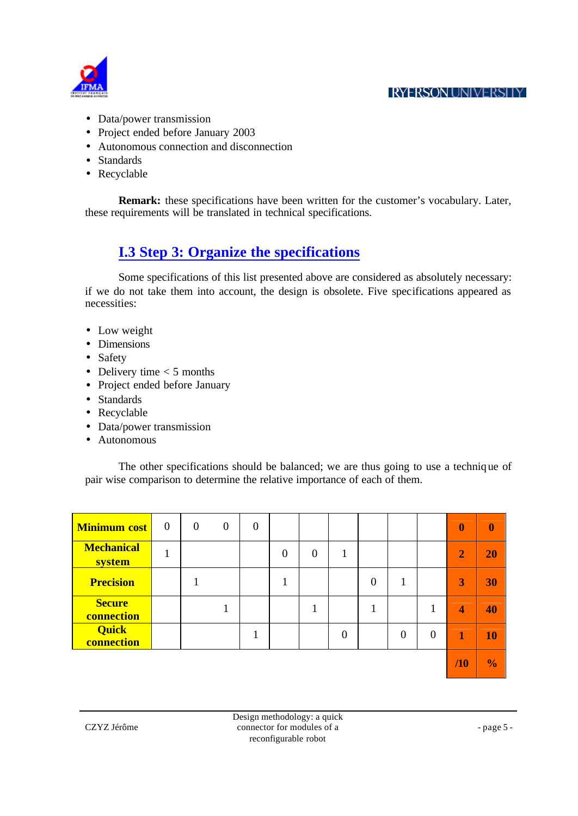

- Data/power transmission
- Project ended before January 2003
- Autonomous connection and disconnection
- Standards
- Recyclable

**Remark:** these specifications have been written for the customer's vocabulary. Later, these requirements will be translated in technical specifications.

## **I.3 Step 3: Organize the specifications**

Some specifications of this list presented above are considered as absolutely necessary: if we do not take them into account, the design is obsolete. Five specifications appeared as necessities:

- Low weight
- Dimensions
- Safety
- Delivery time  $<$  5 months
- Project ended before January
- Standards
- Recyclable
- Data/power transmission
- Autonomous

The other specifications should be balanced; we are thus going to use a techniq ue of pair wise comparison to determine the relative importance of each of them.

| <b>Minimum cost</b>         | $\overline{0}$ | $\boldsymbol{0}$ | $\boldsymbol{0}$ | $\theta$ |          |                |   |          |          |                  | $\mathbf{0}$            | $\boldsymbol{0}$ |
|-----------------------------|----------------|------------------|------------------|----------|----------|----------------|---|----------|----------|------------------|-------------------------|------------------|
| <b>Mechanical</b><br>system |                |                  |                  |          | $\theta$ | $\overline{0}$ | 1 |          |          |                  | $\overline{2}$          | <b>20</b>        |
| <b>Precision</b>            |                |                  |                  |          |          |                |   | $\Omega$ |          |                  | $\overline{\mathbf{3}}$ | 30               |
| <b>Secure</b><br>connection |                |                  |                  |          |          |                |   |          |          |                  | 4                       | 40               |
| <b>Quick</b><br>connection  |                |                  |                  |          |          |                | 0 |          | $\Omega$ | $\boldsymbol{0}$ |                         | 10               |
|                             |                |                  |                  |          |          |                |   |          |          |                  | /10                     | $\frac{0}{0}$    |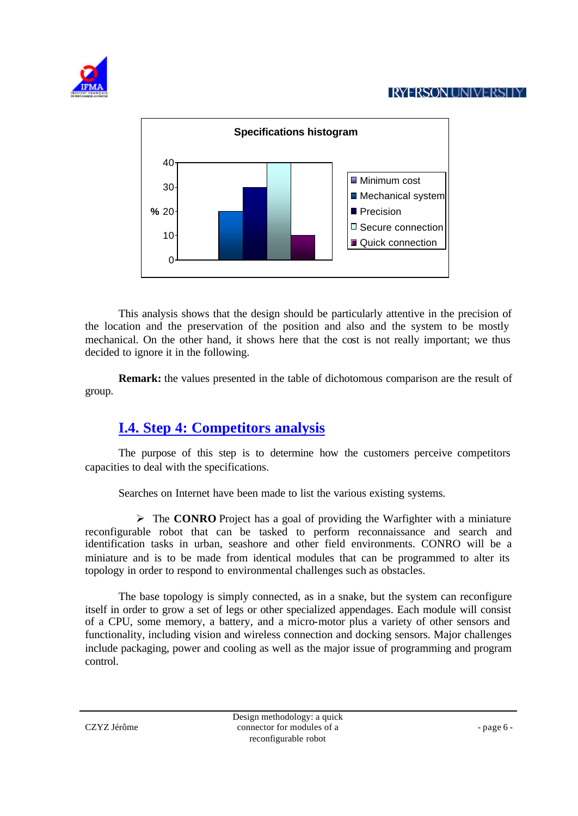



This analysis shows that the design should be particularly attentive in the precision of the location and the preservation of the position and also and the system to be mostly mechanical. On the other hand, it shows here that the cost is not really important; we thus decided to ignore it in the following.

**Remark:** the values presented in the table of dichotomous comparison are the result of group.

## **I.4. Step 4: Competitors analysis**

The purpose of this step is to determine how the customers perceive competitors capacities to deal with the specifications.

Searches on Internet have been made to list the various existing systems.

ÿ The **CONRO** Project has a goal of providing the Warfighter with a miniature reconfigurable robot that can be tasked to perform reconnaissance and search and identification tasks in urban, seashore and other field environments. CONRO will be a miniature and is to be made from identical modules that can be programmed to alter its topology in order to respond to environmental challenges such as obstacles.

The base topology is simply connected, as in a snake, but the system can reconfigure itself in order to grow a set of legs or other specialized appendages. Each module will consist of a CPU, some memory, a battery, and a micro-motor plus a variety of other sensors and functionality, including vision and wireless connection and docking sensors. Major challenges include packaging, power and cooling as well as the major issue of programming and program control.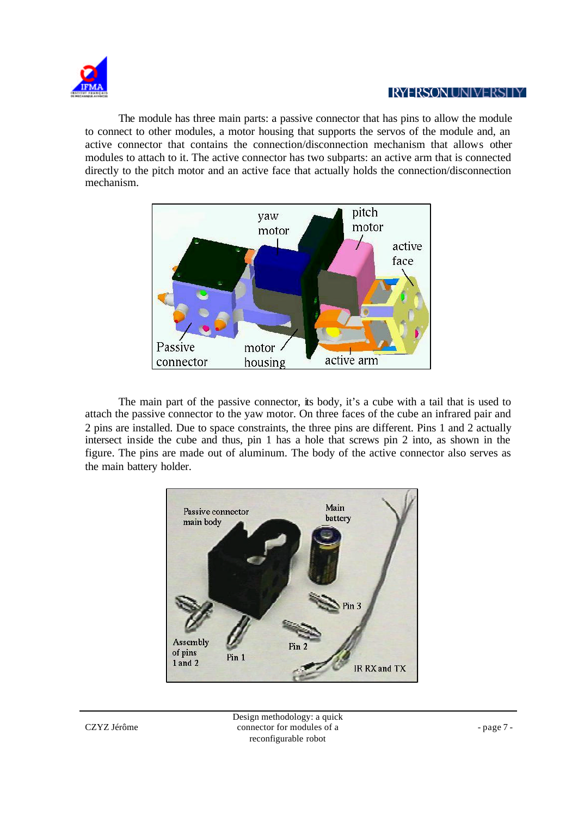

The module has three main parts: a passive connector that has pins to allow the module to connect to other modules, a motor housing that supports the servos of the module and, an active connector that contains the connection/disconnection mechanism that allows other modules to attach to it. The active connector has two subparts: an active arm that is connected directly to the pitch motor and an active face that actually holds the connection/disconnection mechanism.



The main part of the passive connector, its body, it's a cube with a tail that is used to attach the passive connector to the yaw motor. On three faces of the cube an infrared pair and 2 pins are installed. Due to space constraints, the three pins are different. Pins 1 and 2 actually intersect inside the cube and thus, pin 1 has a hole that screws pin 2 into, as shown in the figure. The pins are made out of aluminum. The body of the active connector also serves as the main battery holder.

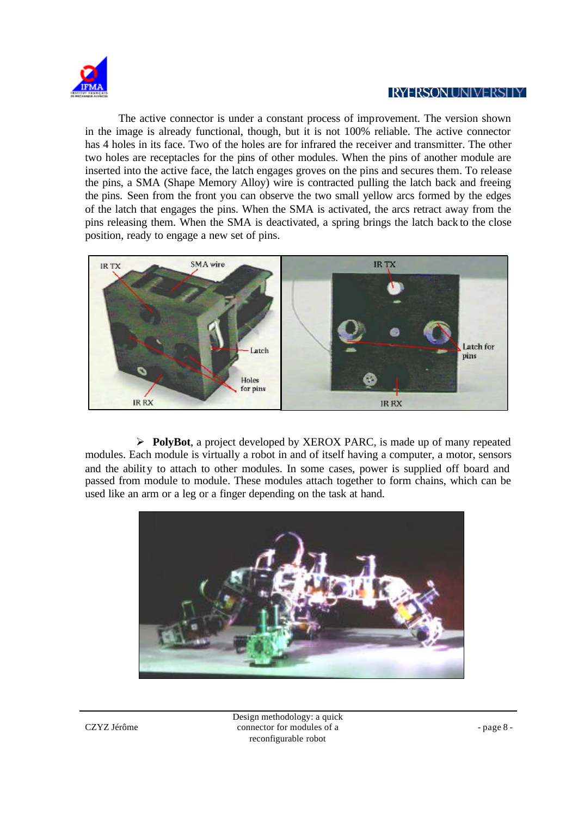

The active connector is under a constant process of improvement. The version shown in the image is already functional, though, but it is not 100% reliable. The active connector has 4 holes in its face. Two of the holes are for infrared the receiver and transmitter. The other two holes are receptacles for the pins of other modules. When the pins of another module are inserted into the active face, the latch engages groves on the pins and secures them. To release the pins, a SMA (Shape Memory Alloy) wire is contracted pulling the latch back and freeing the pins. Seen from the front you can observe the two small yellow arcs formed by the edges of the latch that engages the pins. When the SMA is activated, the arcs retract away from the pins releasing them. When the SMA is deactivated, a spring brings the latch back to the close position, ready to engage a new set of pins.



ÿ **PolyBot**, a project developed by XEROX PARC, is made up of many repeated modules. Each module is virtually a robot in and of itself having a computer, a motor, sensors and the ability to attach to other modules. In some cases, power is supplied off board and passed from module to module. These modules attach together to form chains, which can be used like an arm or a leg or a finger depending on the task at hand.



Design methodology: a quick connector for modules of a reconfigurable robot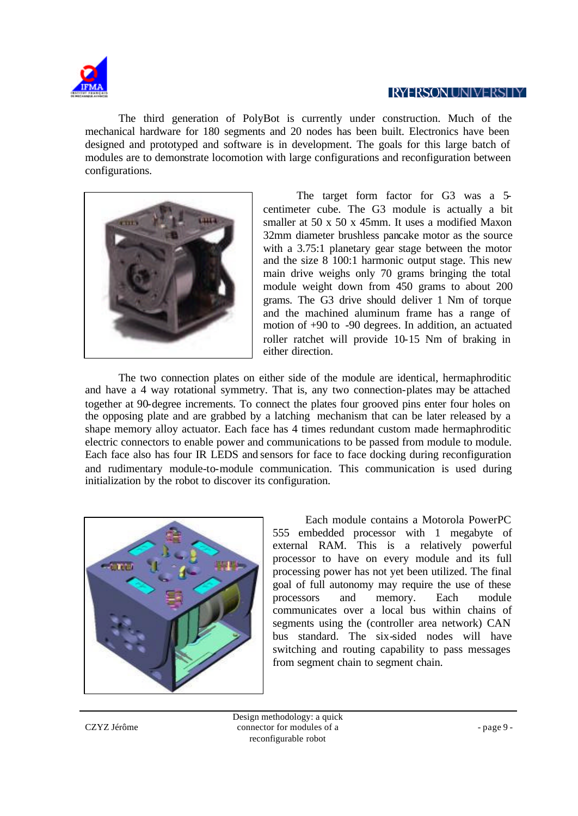

The third generation of PolyBot is currently under construction. Much of the mechanical hardware for 180 segments and 20 nodes has been built. Electronics have been designed and prototyped and software is in development. The goals for this large batch of modules are to demonstrate locomotion with large configurations and reconfiguration between configurations.



The target form factor for G3 was a 5 centimeter cube. The G3 module is actually a bit smaller at 50 x 50 x 45mm. It uses a modified Maxon 32mm diameter brushless pancake motor as the source with a 3.75:1 planetary gear stage between the motor and the size 8 100:1 harmonic output stage. This new main drive weighs only 70 grams bringing the total module weight down from 450 grams to about 200 grams. The G3 drive should deliver 1 Nm of torque and the machined aluminum frame has a range of motion of +90 to -90 degrees. In addition, an actuated roller ratchet will provide 10-15 Nm of braking in either direction.

The two connection plates on either side of the module are identical, hermaphroditic and have a 4 way rotational symmetry. That is, any two connection-plates may be attached together at 90-degree increments. To connect the plates four grooved pins enter four holes on the opposing plate and are grabbed by a latching mechanism that can be later released by a shape memory alloy actuator. Each face has 4 times redundant custom made hermaphroditic electric connectors to enable power and communications to be passed from module to module. Each face also has four IR LEDS and sensors for face to face docking during reconfiguration and rudimentary module-to-module communication. This communication is used during initialization by the robot to discover its configuration.



Each module contains a Motorola PowerPC 555 embedded processor with 1 megabyte of external RAM. This is a relatively powerful processor to have on every module and its full processing power has not yet been utilized. The final goal of full autonomy may require the use of these processors and memory. Each module communicates over a local bus within chains of segments using the (controller area network) CAN bus standard. The six-sided nodes will have switching and routing capability to pass messages from segment chain to segment chain.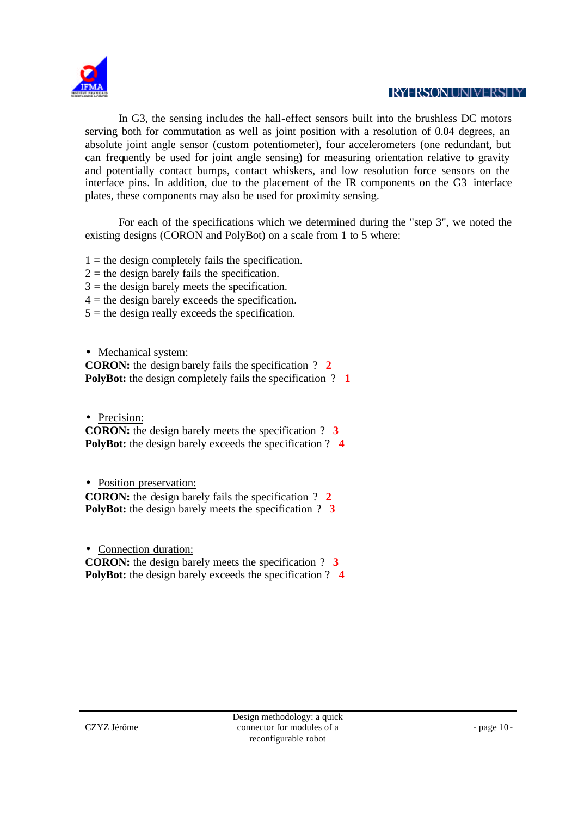

In G3, the sensing includes the hall-effect sensors built into the brushless DC motors serving both for commutation as well as joint position with a resolution of 0.04 degrees, an absolute joint angle sensor (custom potentiometer), four accelerometers (one redundant, but can frequently be used for joint angle sensing) for measuring orientation relative to gravity and potentially contact bumps, contact whiskers, and low resolution force sensors on the interface pins. In addition, due to the placement of the IR components on the G3 interface plates, these components may also be used for proximity sensing.

For each of the specifications which we determined during the "step 3", we noted the existing designs (CORON and PolyBot) on a scale from 1 to 5 where:

- $1 =$  the design completely fails the specification.
- $2 =$  the design barely fails the specification.
- $3 =$  the design barely meets the specification.
- $4 =$  the design barely exceeds the specification.
- $5 =$  the design really exceeds the specification.

• Mechanical system:

**CORON:** the design barely fails the specification ? **2 PolyBot:** the design completely fails the specification ? **1** 

• Precision:

**CORON:** the design barely meets the specification ? **3 PolyBot:** the design barely exceeds the specification ? **4**

• Position preservation: **CORON:** the design barely fails the specification ? **2 PolyBot:** the design barely meets the specification ? **3** 

• Connection duration: **CORON:** the design barely meets the specification ? **3 PolyBot:** the design barely exceeds the specification ? **4**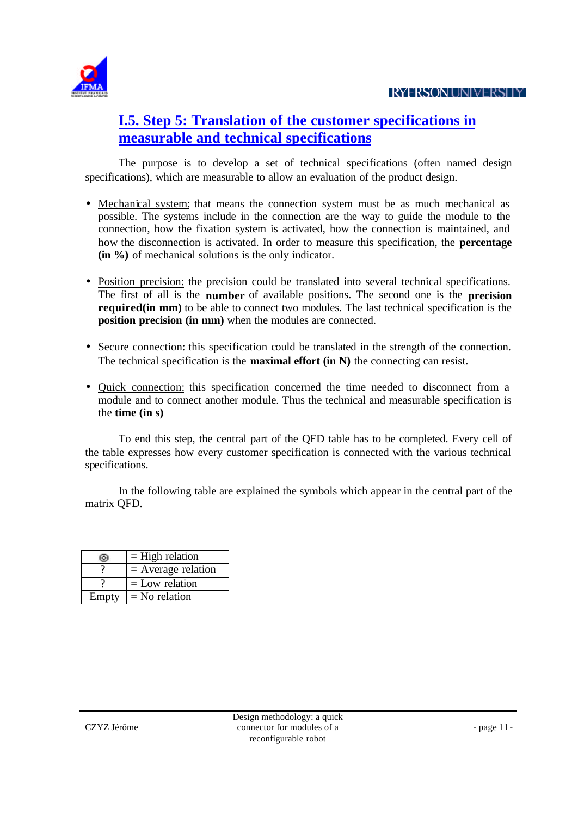

## **I.5. Step 5: Translation of the customer specifications in measurable and technical specifications**

The purpose is to develop a set of technical specifications (often named design specifications), which are measurable to allow an evaluation of the product design.

- Mechanical system: that means the connection system must be as much mechanical as possible. The systems include in the connection are the way to guide the module to the connection, how the fixation system is activated, how the connection is maintained, and how the disconnection is activated. In order to measure this specification, the **percentage (in %)** of mechanical solutions is the only indicator.
- Position precision: the precision could be translated into several technical specifications. The first of all is the **number** of available positions. The second one is the **precision required(in mm)** to be able to connect two modules. The last technical specification is the **position precision (in mm)** when the modules are connected.
- Secure connection: this specification could be translated in the strength of the connection. The technical specification is the **maximal effort (in N)** the connecting can resist.
- Quick connection: this specification concerned the time needed to disconnect from a module and to connect another module. Thus the technical and measurable specification is the **time (in s)**

To end this step, the central part of the QFD table has to be completed. Every cell of the table expresses how every customer specification is connected with the various technical specifications.

In the following table are explained the symbols which appear in the central part of the matrix QFD.

| 60)   | $=$ High relation    |
|-------|----------------------|
|       | $=$ Average relation |
|       | $=$ Low relation     |
| Empty | $=$ No relation      |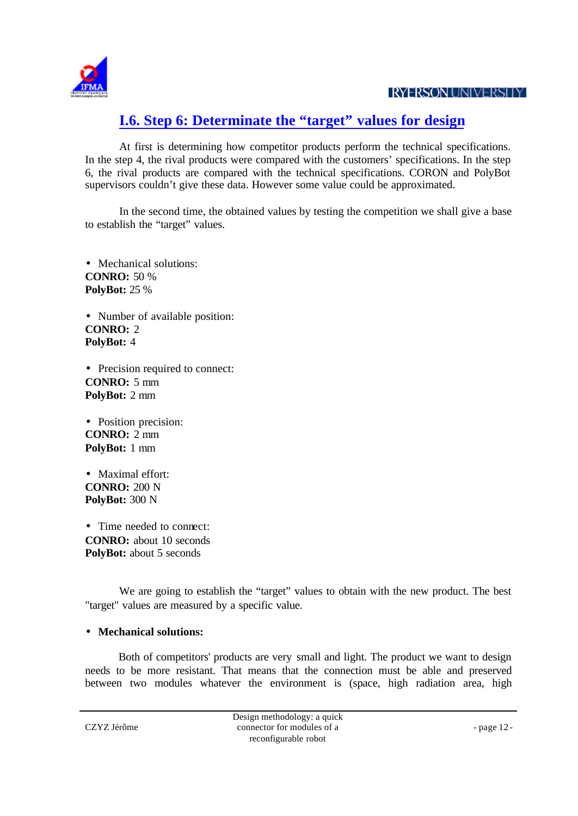

### **I.6. Step 6: Determinate the "target" values for design**

At first is determining how competitor products perform the technical specifications. In the step 4, the rival products were compared with the customers' specifications. In the step 6, the rival products are compared with the technical specifications. CORON and PolyBot supervisors couldn't give these data. However some value could be approximated.

In the second time, the obtained values by testing the competition we shall give a base to establish the "target" values.

• Mechanical solutions: **CONRO:** 50 % **PolyBot:** 25 %

• Number of available position: **CONRO:** 2 **PolyBot:** 4

• Precision required to connect: **CONRO:** 5 mm **PolyBot:** 2 mm

• Position precision: **CONRO:** 2 mm **PolyBot:** 1 mm

• Maximal effort: **CONRO:** 200 N **PolyBot:** 300 N

• Time needed to connect: **CONRO:** about 10 seconds **PolyBot:** about 5 seconds

We are going to establish the "target" values to obtain with the new product. The best "target" values are measured by a specific value.

#### • **Mechanical solutions:**

Both of competitors' products are very small and light. The product we want to design needs to be more resistant. That means that the connection must be able and preserved between two modules whatever the environment is (space, high radiation area, high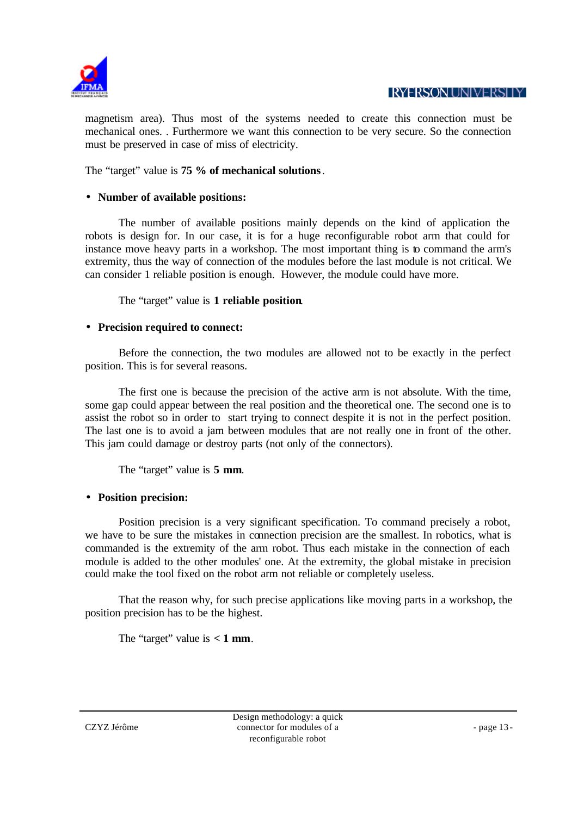

magnetism area). Thus most of the systems needed to create this connection must be mechanical ones. . Furthermore we want this connection to be very secure. So the connection must be preserved in case of miss of electricity.

The "target" value is **75 % of mechanical solutions**.

#### • **Number of available positions:**

The number of available positions mainly depends on the kind of application the robots is design for. In our case, it is for a huge reconfigurable robot arm that could for instance move heavy parts in a workshop. The most important thing is to command the arm's extremity, thus the way of connection of the modules before the last module is not critical. We can consider 1 reliable position is enough. However, the module could have more.

The "target" value is **1 reliable position**.

#### • **Precision required to connect:**

Before the connection, the two modules are allowed not to be exactly in the perfect position. This is for several reasons.

The first one is because the precision of the active arm is not absolute. With the time, some gap could appear between the real position and the theoretical one. The second one is to assist the robot so in order to start trying to connect despite it is not in the perfect position. The last one is to avoid a jam between modules that are not really one in front of the other. This jam could damage or destroy parts (not only of the connectors).

The "target" value is **5 mm**.

#### • **Position precision:**

Position precision is a very significant specification. To command precisely a robot, we have to be sure the mistakes in connection precision are the smallest. In robotics, what is commanded is the extremity of the arm robot. Thus each mistake in the connection of each module is added to the other modules' one. At the extremity, the global mistake in precision could make the tool fixed on the robot arm not reliable or completely useless.

That the reason why, for such precise applications like moving parts in a workshop, the position precision has to be the highest.

The "target" value is  $< 1$  mm.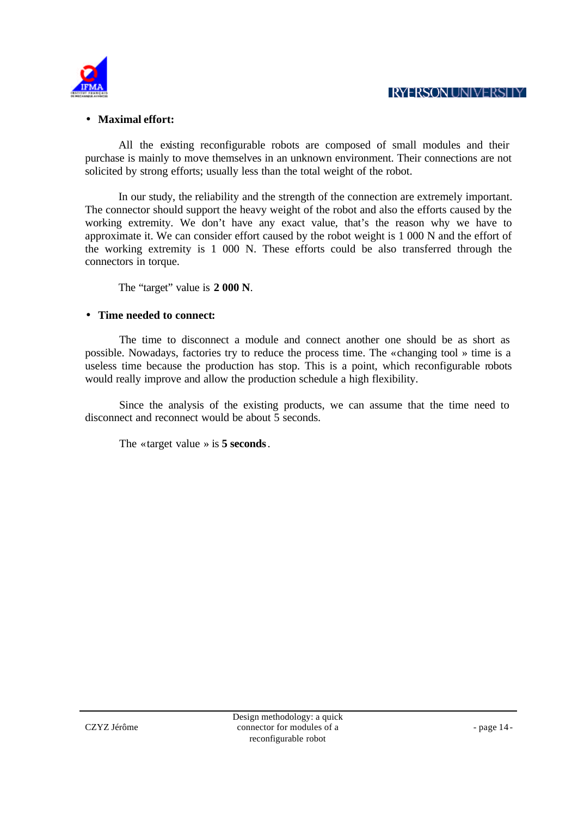

#### • **Maximal effort:**

All the existing reconfigurable robots are composed of small modules and their purchase is mainly to move themselves in an unknown environment. Their connections are not solicited by strong efforts; usually less than the total weight of the robot.

In our study, the reliability and the strength of the connection are extremely important. The connector should support the heavy weight of the robot and also the efforts caused by the working extremity. We don't have any exact value, that's the reason why we have to approximate it. We can consider effort caused by the robot weight is 1 000 N and the effort of the working extremity is 1 000 N. These efforts could be also transferred through the connectors in torque.

The "target" value is **2 000 N**.

#### • **Time needed to connect:**

The time to disconnect a module and connect another one should be as short as possible. Nowadays, factories try to reduce the process time. The «changing tool » time is a useless time because the production has stop. This is a point, which reconfigurable robots would really improve and allow the production schedule a high flexibility.

Since the analysis of the existing products, we can assume that the time need to disconnect and reconnect would be about 5 seconds.

The «target value » is **5 seconds**.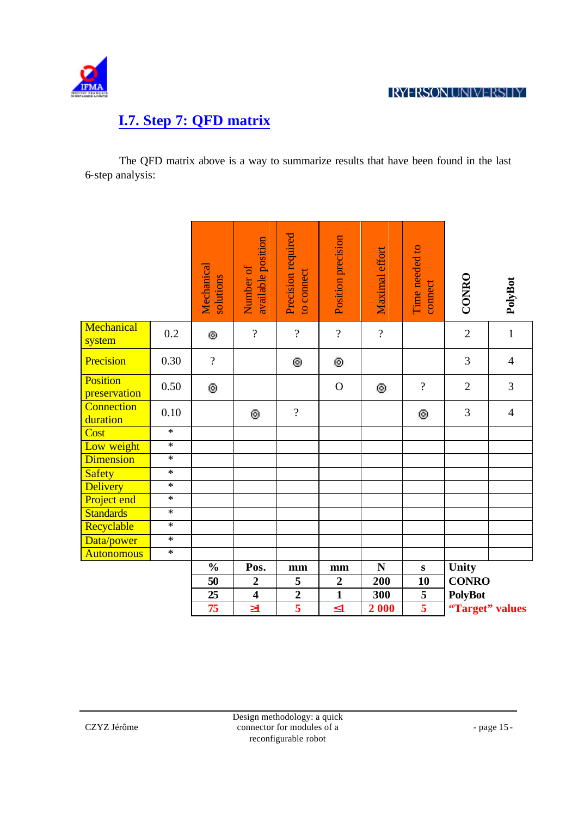

## **I.7. Step 7: QFD matrix**

The QFD matrix above is a way to summarize results that have been found in the last 6-step analysis:

|                                 |                  | Mechanical<br>solutions | available position<br>Number of | Precision required<br>to connect | Position precision | Maximal effort | Time needed to<br>connect | CONRO           | PolyBot        |
|---------------------------------|------------------|-------------------------|---------------------------------|----------------------------------|--------------------|----------------|---------------------------|-----------------|----------------|
| Mechanical<br>system            | 0.2              | $\odot$                 | $\overline{\mathcal{L}}$        | $\overline{?}$                   | $\overline{?}$     | $\overline{?}$ |                           | $\overline{2}$  | $\mathbf 1$    |
| Precision                       | 0.30             | $\overline{?}$          |                                 | ⑩                                | $\odot$            |                |                           | 3               | $\overline{4}$ |
| <b>Position</b><br>preservation | 0.50             | O.                      |                                 |                                  | $\mathbf{O}$       | $\odot$        | $\overline{?}$            | $\overline{2}$  | 3              |
| <b>Connection</b><br>duration   | 0.10             |                         | O.                              | $\gamma$                         |                    |                | $\odot$                   | $\overline{3}$  | $\overline{4}$ |
| Cost                            | $\ast$           |                         |                                 |                                  |                    |                |                           |                 |                |
| Low weight                      | $\ast$           |                         |                                 |                                  |                    |                |                           |                 |                |
| <b>Dimension</b>                | $\ast$           |                         |                                 |                                  |                    |                |                           |                 |                |
| <b>Safety</b>                   | $\ast$           |                         |                                 |                                  |                    |                |                           |                 |                |
| <b>Delivery</b>                 | $\ast$           |                         |                                 |                                  |                    |                |                           |                 |                |
| Project end                     | $\ast$           |                         |                                 |                                  |                    |                |                           |                 |                |
| <b>Standards</b>                | $\ast$           |                         |                                 |                                  |                    |                |                           |                 |                |
| Recyclable                      | $\ast$           |                         |                                 |                                  |                    |                |                           |                 |                |
| Data/power                      | $\ast$<br>$\ast$ |                         |                                 |                                  |                    |                |                           |                 |                |
| <b>Autonomous</b>               |                  |                         |                                 |                                  |                    |                |                           |                 |                |
|                                 |                  | $\frac{0}{0}$           | Pos.                            | mm                               | mm                 | ${\bf N}$      | ${\bf S}$                 | Unity           |                |
|                                 |                  | 50                      | $\boldsymbol{2}$                | 5                                | $\overline{2}$     | 200            | 10                        | <b>CONRO</b>    |                |
|                                 |                  | 25                      | $\overline{\mathbf{4}}$         | $\mathbf 2$                      | $\mathbf{1}$       | 300            | 5                         | PolyBot         |                |
|                                 |                  | 75                      | $\overline{\mathbf{3}}$         | 5                                | $\mathbf{f}$       | 2 000          | 5                         | "Target" values |                |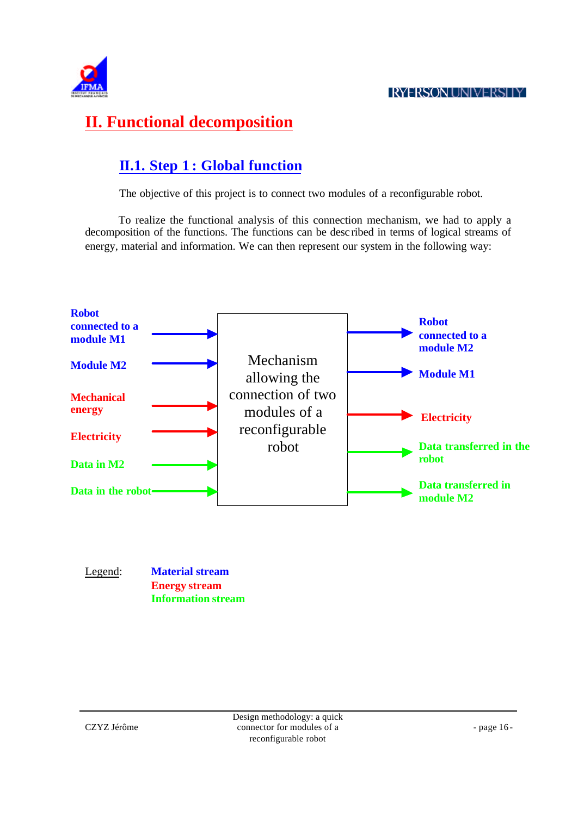

# **II. Functional decomposition**

## **II.1. Step 1 : Global function**

The objective of this project is to connect two modules of a reconfigurable robot.

To realize the functional analysis of this connection mechanism, we had to apply a decomposition of the functions. The functions can be desc ribed in terms of logical streams of energy, material and information. We can then represent our system in the following way:



Legend: **Material stream Energy stream Information stream**

CZYZ Jérôme

Design methodology: a quick connector for modules of a reconfigurable robot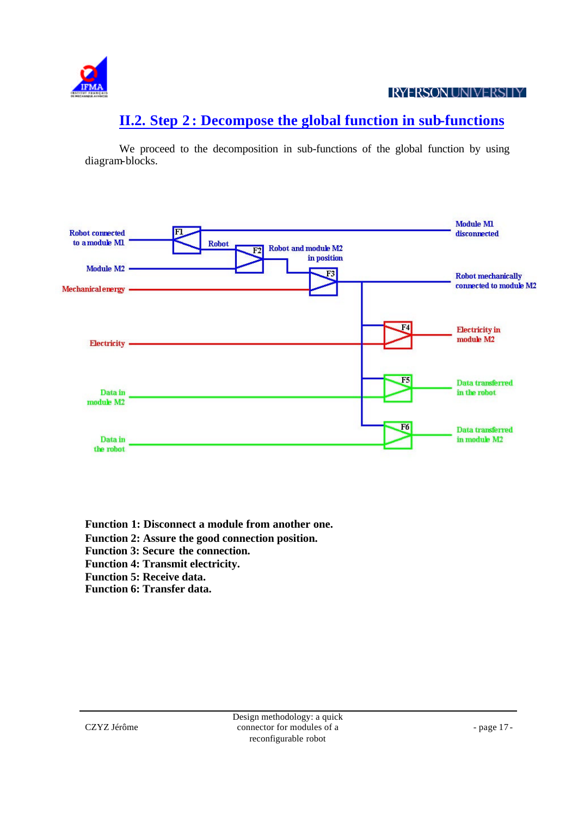

## **II.2. Step 2 : Decompose the global function in sub-functions**

We proceed to the decomposition in sub-functions of the global function by using diagram-blocks.



**Function 1: Disconnect a module from another one.**

- **Function 2: Assure the good connection position.**
- **Function 3: Secure the connection.**
- **Function 4: Transmit electricity.**
- **Function 5: Receive data.**
- **Function 6: Transfer data.**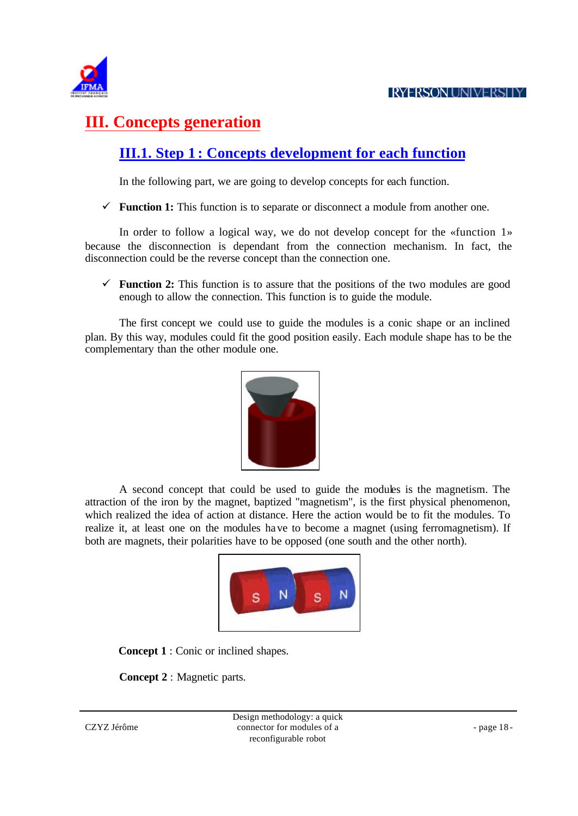

# **III. Concepts generation**

## **III.1. Step 1 : Concepts development for each function**

In the following part, we are going to develop concepts for each function.

 $\checkmark$  **Function 1:** This function is to separate or disconnect a module from another one.

In order to follow a logical way, we do not develop concept for the «function 1» because the disconnection is dependant from the connection mechanism. In fact, the disconnection could be the reverse concept than the connection one.

 $\checkmark$  **Function 2:** This function is to assure that the positions of the two modules are good enough to allow the connection. This function is to guide the module.

The first concept we could use to guide the modules is a conic shape or an inclined plan. By this way, modules could fit the good position easily. Each module shape has to be the complementary than the other module one.



A second concept that could be used to guide the modules is the magnetism. The attraction of the iron by the magnet, baptized "magnetism", is the first physical phenomenon, which realized the idea of action at distance. Here the action would be to fit the modules. To realize it, at least one on the modules have to become a magnet (using ferromagnetism). If both are magnets, their polarities have to be opposed (one south and the other north).





**Concept 2** : Magnetic parts.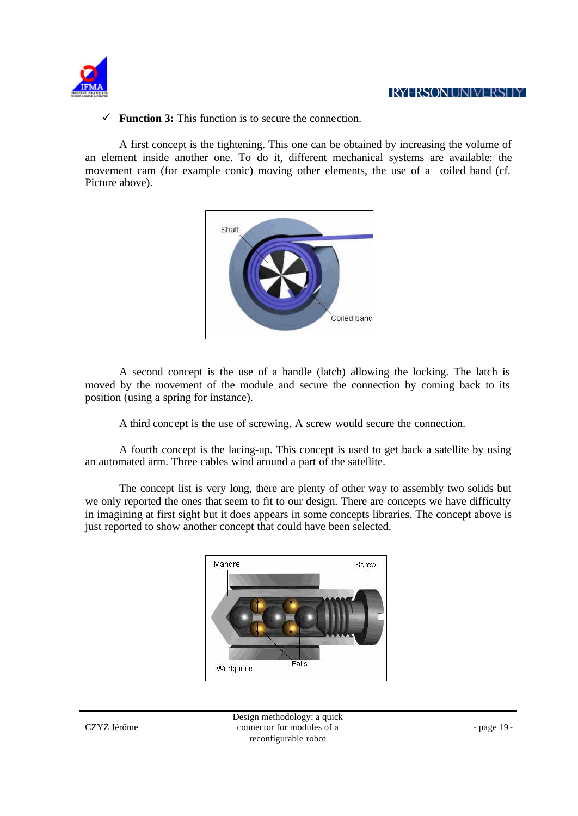**Function 3:** This function is to secure the connection.

A first concept is the tightening. This one can be obtained by increasing the volume of an element inside another one. To do it, different mechanical systems are available: the movement cam (for example conic) moving other elements, the use of a coiled band (cf. Picture above).



A second concept is the use of a handle (latch) allowing the locking. The latch is moved by the movement of the module and secure the connection by coming back to its position (using a spring for instance).

A third concept is the use of screwing. A screw would secure the connection.

A fourth concept is the lacing-up. This concept is used to get back a satellite by using an automated arm. Three cables wind around a part of the satellite.

The concept list is very long, there are plenty of other way to assembly two solids but we only reported the ones that seem to fit to our design. There are concepts we have difficulty in imagining at first sight but it does appears in some concepts libraries. The concept above is just reported to show another concept that could have been selected.

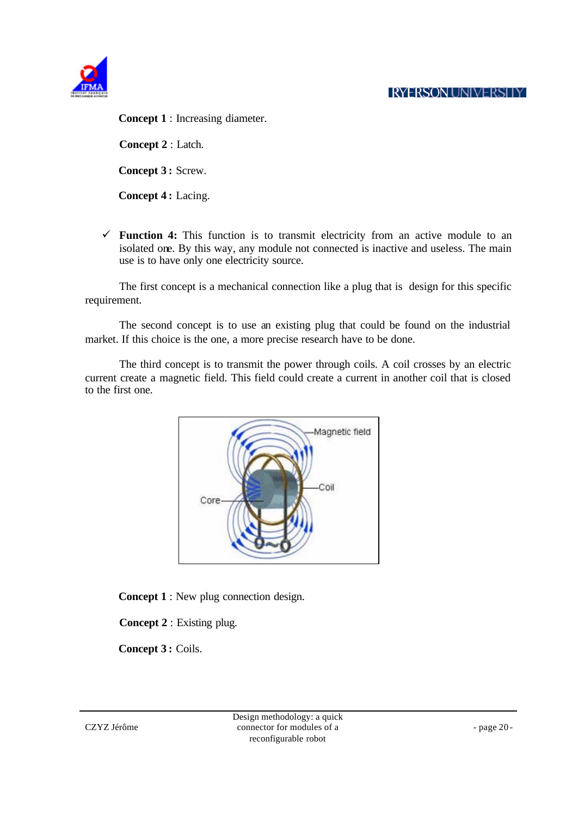

**Concept 1** : Increasing diameter.

**Concept 2** : Latch.

**Concept 3 :** Screw.

**Concept 4 :** Lacing.

 $\checkmark$  **Function 4:** This function is to transmit electricity from an active module to an isolated one. By this way, any module not connected is inactive and useless. The main use is to have only one electricity source.

The first concept is a mechanical connection like a plug that is design for this specific requirement.

The second concept is to use an existing plug that could be found on the industrial market. If this choice is the one, a more precise research have to be done.

The third concept is to transmit the power through coils. A coil crosses by an electric current create a magnetic field. This field could create a current in another coil that is closed to the first one.



**Concept 1** : New plug connection design.

**Concept 2** : Existing plug.

**Concept 3 :** Coils.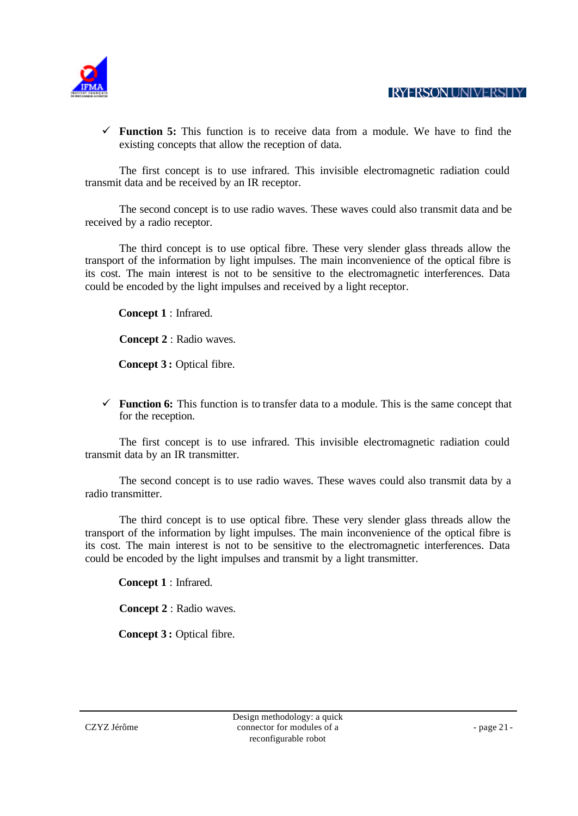

 $\checkmark$  **Function 5:** This function is to receive data from a module. We have to find the existing concepts that allow the reception of data.

The first concept is to use infrared. This invisible electromagnetic radiation could transmit data and be received by an IR receptor.

The second concept is to use radio waves. These waves could also transmit data and be received by a radio receptor.

The third concept is to use optical fibre. These very slender glass threads allow the transport of the information by light impulses. The main inconvenience of the optical fibre is its cost. The main interest is not to be sensitive to the electromagnetic interferences. Data could be encoded by the light impulses and received by a light receptor.

**Concept 1** : Infrared.

**Concept 2** : Radio waves.

**Concept 3 :** Optical fibre.

 $\checkmark$  **Function 6:** This function is to transfer data to a module. This is the same concept that for the reception.

The first concept is to use infrared. This invisible electromagnetic radiation could transmit data by an IR transmitter.

The second concept is to use radio waves. These waves could also transmit data by a radio transmitter.

The third concept is to use optical fibre. These very slender glass threads allow the transport of the information by light impulses. The main inconvenience of the optical fibre is its cost. The main interest is not to be sensitive to the electromagnetic interferences. Data could be encoded by the light impulses and transmit by a light transmitter.

**Concept 1** : Infrared.

**Concept 2** : Radio waves.

**Concept 3 :** Optical fibre.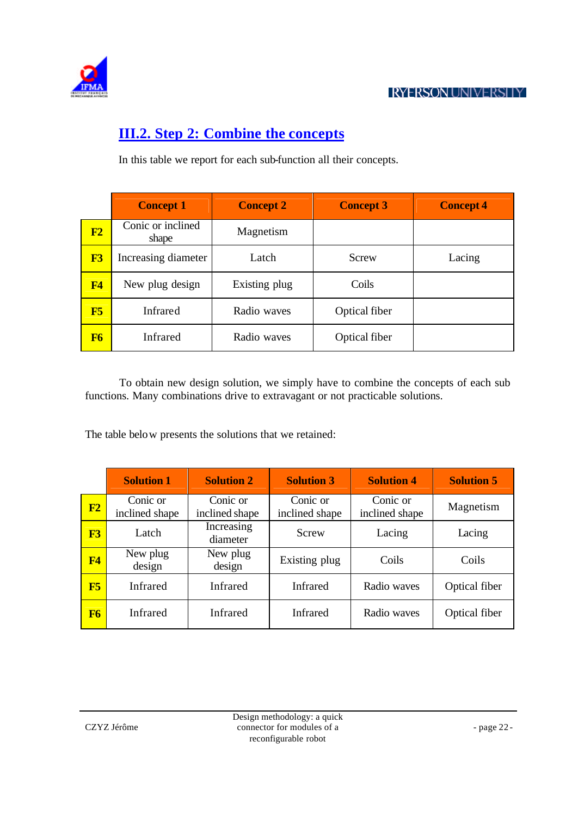

## **III.2. Step 2: Combine the concepts**

In this table we report for each sub-function all their concepts.

|                | <b>Concept 1</b>             | <b>Concept 2</b> | <b>Concept 3</b> | <b>Concept 4</b> |
|----------------|------------------------------|------------------|------------------|------------------|
| F2             | Conic or inclined<br>shape   | Magnetism        |                  |                  |
| F3             | Increasing diameter<br>Latch |                  | Screw            | Lacing           |
| F <sub>4</sub> | New plug design              | Existing plug    | Coils            |                  |
| F5             | <b>Infrared</b>              | Radio waves      | Optical fiber    |                  |
| F <sub>6</sub> | Infrared                     | Radio waves      | Optical fiber    |                  |

To obtain new design solution, we simply have to combine the concepts of each sub functions. Many combinations drive to extravagant or not practicable solutions.

The table below presents the solutions that we retained:

|                | <b>Solution 1</b>          | <b>Solution 2</b>          | <b>Solution 3</b>          | <b>Solution 4</b>          | <b>Solution 5</b> |
|----------------|----------------------------|----------------------------|----------------------------|----------------------------|-------------------|
| F2             | Conic or<br>inclined shape | Conic or<br>inclined shape | Conic or<br>inclined shape | Conic or<br>inclined shape | Magnetism         |
| F3             | Latch                      | Increasing<br>diameter     | Screw                      | Lacing                     | Lacing            |
| F <sub>4</sub> | New plug<br>design         | New plug<br>design         | Existing plug              | Coils                      | Coils             |
| F5             | Infrared                   | Infrared                   | Infrared                   | Radio waves                | Optical fiber     |
| F <sub>6</sub> | Infrared                   | Infrared                   | Infrared                   | Radio waves                | Optical fiber     |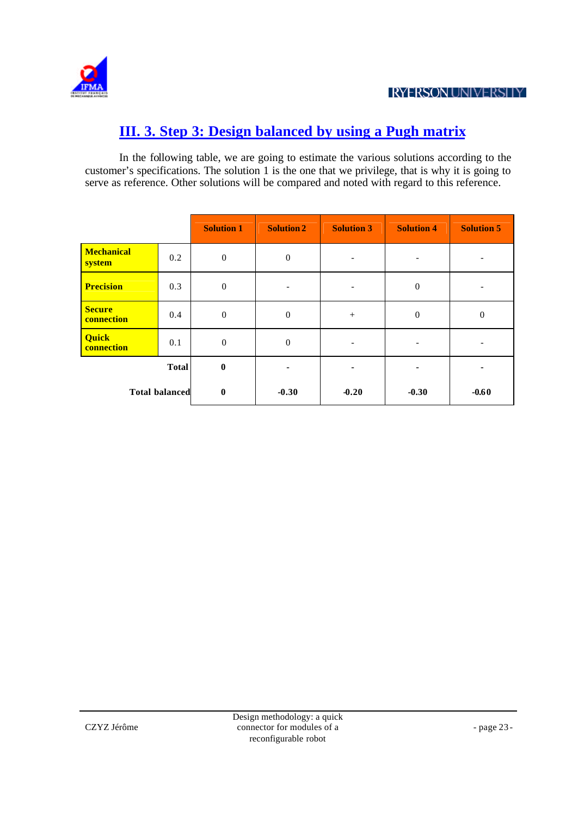

## **III. 3. Step 3: Design balanced by using a Pugh matrix**

In the following table, we are going to estimate the various solutions according to the customer's specifications. The solution 1 is the one that we privilege, that is why it is going to serve as reference. Other solutions will be compared and noted with regard to this reference.

|                             |     | <b>Solution 1</b> | <b>Solution 2</b> | <b>Solution 3</b> | <b>Solution 4</b> | <b>Solution 5</b> |
|-----------------------------|-----|-------------------|-------------------|-------------------|-------------------|-------------------|
| <b>Mechanical</b><br>system | 0.2 | $\boldsymbol{0}$  | $\boldsymbol{0}$  |                   |                   |                   |
| <b>Precision</b>            | 0.3 | $\boldsymbol{0}$  |                   |                   | $\boldsymbol{0}$  |                   |
| <b>Secure</b><br>connection | 0.4 | $\boldsymbol{0}$  | $\boldsymbol{0}$  | $+$               | $\boldsymbol{0}$  | $\boldsymbol{0}$  |
| <b>Quick</b><br>connection  | 0.1 | $\boldsymbol{0}$  | $\boldsymbol{0}$  |                   |                   |                   |
| <b>Total</b>                |     | $\boldsymbol{0}$  |                   |                   |                   |                   |
| <b>Total balanced</b>       |     | $\bf{0}$          | $-0.30$           | $-0.20$           | $-0.30$           | $-0.60$           |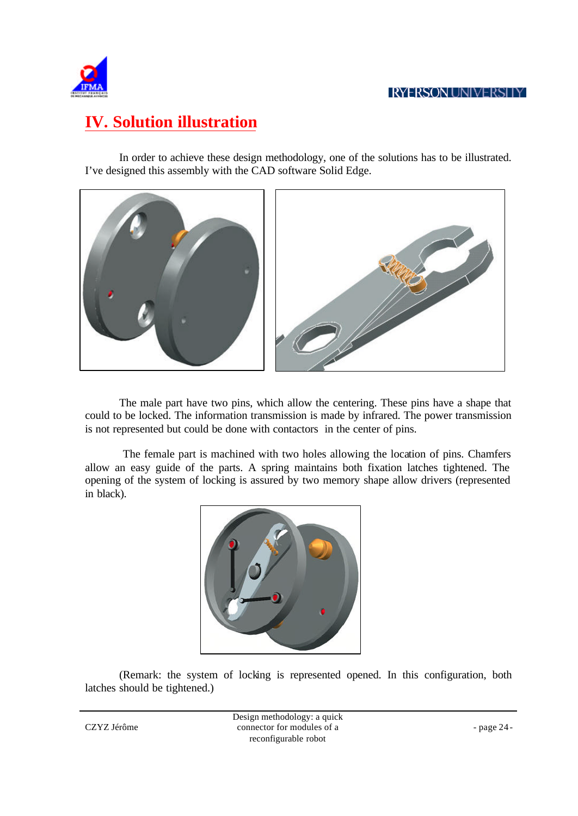

## **IV. Solution illustration**

In order to achieve these design methodology, one of the solutions has to be illustrated. I've designed this assembly with the CAD software Solid Edge.



The male part have two pins, which allow the centering. These pins have a shape that could to be locked. The information transmission is made by infrared. The power transmission is not represented but could be done with contactors in the center of pins.

 The female part is machined with two holes allowing the location of pins. Chamfers allow an easy guide of the parts. A spring maintains both fixation latches tightened. The opening of the system of locking is assured by two memory shape allow drivers (represented in black).



(Remark: the system of locking is represented opened. In this configuration, both latches should be tightened.)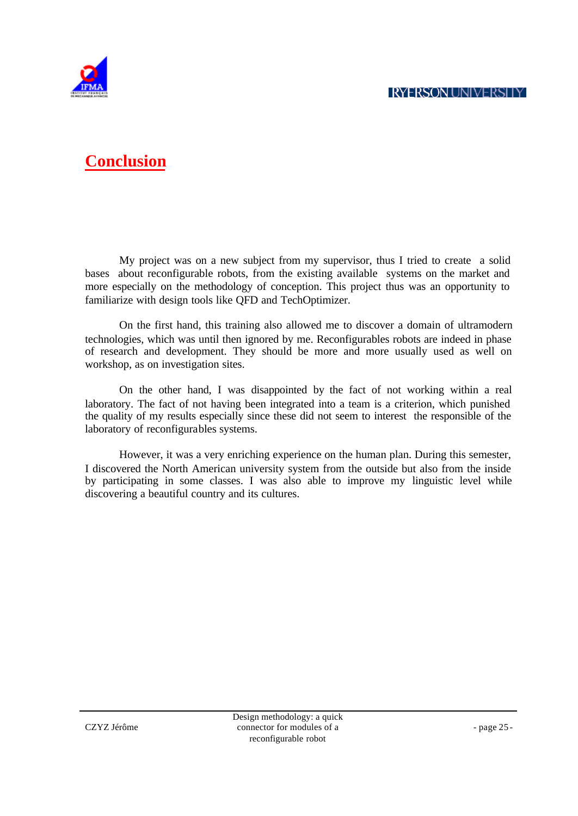

## **Conclusion**

My project was on a new subject from my supervisor, thus I tried to create a solid bases about reconfigurable robots, from the existing available systems on the market and more especially on the methodology of conception. This project thus was an opportunity to familiarize with design tools like QFD and TechOptimizer.

On the first hand, this training also allowed me to discover a domain of ultramodern technologies, which was until then ignored by me. Reconfigurables robots are indeed in phase of research and development. They should be more and more usually used as well on workshop, as on investigation sites.

On the other hand, I was disappointed by the fact of not working within a real laboratory. The fact of not having been integrated into a team is a criterion, which punished the quality of my results especially since these did not seem to interest the responsible of the laboratory of reconfigurables systems.

However, it was a very enriching experience on the human plan. During this semester, I discovered the North American university system from the outside but also from the inside by participating in some classes. I was also able to improve my linguistic level while discovering a beautiful country and its cultures.